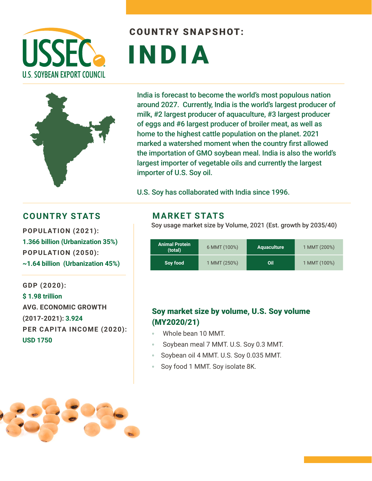

# COUNTRY SNAPSHOT: INDIA

India is forecast to become the world's most populous nation around 2027. Currently, India is the world's largest producer of milk, #2 largest producer of aquaculture, #3 largest producer of eggs and #6 largest producer of broiler meat, as well as home to the highest cattle population on the planet. 2021 marked a watershed moment when the country first allowed the importation of GMO soybean meal. India is also the world's largest importer of vegetable oils and currently the largest importer of U.S. Soy oil.

U.S. Soy has collaborated with India since 1996.

### **COUNTRY STATS MARKET STATS**

**POPULATION (2021): 1.366 billion (Urbanization 35%) POPULATION (2050): ~1.64 billion (Urbanization 45%)** 

**GDP (2020): \$ 1.98 trillion AVG. ECONOMIC GROWTH (2017-2021): 3.924 PER CAPITA INCOME (2020): USD 1750**

Soy usage market size by Volume, 2021 (Est. growth by 2035/40)

| <b>Animal Protein</b><br>(total) | 6 MMT (100%) | <b>Aquaculture</b> | 1 MMT (200%) |
|----------------------------------|--------------|--------------------|--------------|
| Soy food                         | 1 MMT (250%) | Oil                | 1 MMT (100%) |

### Soy market size by volume, U.S. Soy volume (MY2020/21)

- Whole bean 10 MMT.
- Soybean meal 7 MMT. U.S. Soy 0.3 MMT.
- Soybean oil 4 MMT. U.S. Soy 0.035 MMT.
- Soy food 1 MMT. Soy isolate 8K.